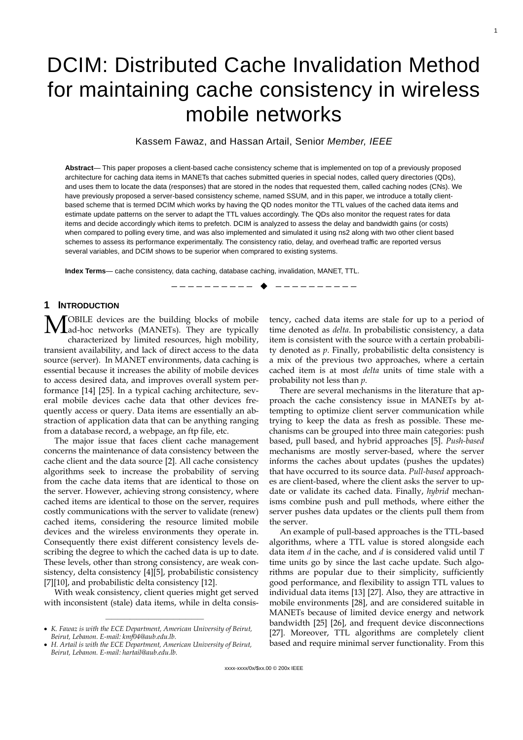# DCIM: Distributed Cache Invalidation Method for maintaining cache consistency in wireless mobile networks

Kassem Fawaz, and Hassan Artail, Senior *Member, IEEE*

**Abstract**— This paper proposes a client-based cache consistency scheme that is implemented on top of a previously proposed architecture for caching data items in MANETs that caches submitted queries in special nodes, called query directories (QDs), and uses them to locate the data (responses) that are stored in the nodes that requested them, called caching nodes (CNs). We have previously proposed a server-based consistency scheme, named SSUM, and in this paper, we introduce a totally clientbased scheme that is termed DCIM which works by having the QD nodes monitor the TTL values of the cached data items and estimate update patterns on the server to adapt the TTL values accordingly. The QDs also monitor the request rates for data items and decide accordingly which items to prefetch. DCIM is analyzed to assess the delay and bandwidth gains (or costs) when compared to polling every time, and was also implemented and simulated it using ns2 along with two other client based schemes to assess its performance experimentally. The consistency ratio, delay, and overhead traffic are reported versus several variables, and DCIM shows to be superior when comprared to existing systems.

—————————— ——————————

**Index Terms**— cache consistency, data caching, database caching, invalidation, MANET, TTL.

# **1 INTRODUCTION**

OBILE devices are the building blocks of mobile **MOBILE** devices are the building blocks of mobile and ad-hoc networks (MANETs). They are typically characterized by limited resources, high mobility, transient availability, and lack of direct access to the data source (server). In MANET environments, data caching is essential because it increases the ability of mobile devices to access desired data, and improves overall system performance [14] [25]. In a typical caching architecture, several mobile devices cache data that other devices frequently access or query. Data items are essentially an abstraction of application data that can be anything ranging from a database record, a webpage, an ftp file, etc.

The major issue that faces client cache management concerns the maintenance of data consistency between the cache client and the data source [2]. All cache consistency algorithms seek to increase the probability of serving from the cache data items that are identical to those on the server. However, achieving strong consistency, where cached items are identical to those on the server, requires costly communications with the server to validate (renew) cached items, considering the resource limited mobile devices and the wireless environments they operate in. Consequently there exist different consistency levels describing the degree to which the cached data is up to date. These levels, other than strong consistency, are weak consistency, delta consistency [4][5], probabilistic consistency [7][10], and probabilistic delta consistency [12].

With weak consistency, client queries might get served with inconsistent (stale) data items, while in delta consis-

 $\frac{1}{\sqrt{2}}$  , and the set of the set of the set of the set of the set of the set of the set of the set of the set of the set of the set of the set of the set of the set of the set of the set of the set of the set of the

tency, cached data items are stale for up to a period of time denoted as *delta*. In probabilistic consistency, a data item is consistent with the source with a certain probability denoted as *p*. Finally, probabilistic delta consistency is a mix of the previous two approaches, where a certain cached item is at most *delta* units of time stale with a probability not less than *p*.

1

There are several mechanisms in the literature that approach the cache consistency issue in MANETs by attempting to optimize client server communication while trying to keep the data as fresh as possible. These mechanisms can be grouped into three main categories: push based, pull based, and hybrid approaches [5]. *Push-based* mechanisms are mostly server-based, where the server informs the caches about updates (pushes the updates) that have occurred to its source data. *Pull-based* approaches are client-based, where the client asks the server to update or validate its cached data. Finally, *hybrid* mechanisms combine push and pull methods, where either the server pushes data updates or the clients pull them from the server.

An example of pull-based approaches is the TTL-based algorithms, where a TTL value is stored alongside each data item *d* in the cache, and *d* is considered valid until *T*  time units go by since the last cache update. Such algorithms are popular due to their simplicity, sufficiently good performance, and flexibility to assign TTL values to individual data items [13] [27]. Also, they are attractive in mobile environments [28], and are considered suitable in MANETs because of limited device energy and network bandwidth [25] [26], and frequent device disconnections [27]. Moreover, TTL algorithms are completely client based and require minimal server functionality. From this

<sup>•</sup> *K. Fawaz is with the ECE Department, American University of Beirut, Beirut, Lebanon. E-mail: kmf04@aub.edu.lb.*

<sup>•</sup> *H. Artail is with the ECE Department, American University of Beirut, Beirut, Lebanon. E-mail: hartail@aub.edu.lb.*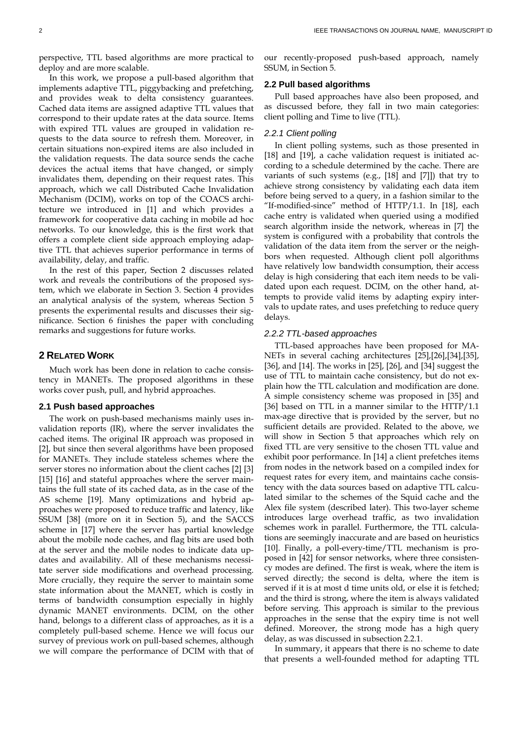perspective, TTL based algorithms are more practical to deploy and are more scalable.

In this work, we propose a pull-based algorithm that implements adaptive TTL, piggybacking and prefetching, and provides weak to delta consistency guarantees. Cached data items are assigned adaptive TTL values that correspond to their update rates at the data source. Items with expired TTL values are grouped in validation requests to the data source to refresh them. Moreover, in certain situations non-expired items are also included in the validation requests. The data source sends the cache devices the actual items that have changed, or simply invalidates them, depending on their request rates. This approach, which we call Distributed Cache Invalidation Mechanism (DCIM), works on top of the COACS architecture we introduced in [1] and which provides a framework for cooperative data caching in mobile ad hoc networks. To our knowledge, this is the first work that offers a complete client side approach employing adaptive TTL that achieves superior performance in terms of availability, delay, and traffic.

In the rest of this paper, Section 2 discusses related work and reveals the contributions of the proposed system, which we elaborate in Section 3. Section 4 provides an analytical analysis of the system, whereas Section 5 presents the experimental results and discusses their significance. Section 6 finishes the paper with concluding remarks and suggestions for future works.

## **2 RELATED WORK**

Much work has been done in relation to cache consistency in MANETs. The proposed algorithms in these works cover push, pull, and hybrid approaches.

#### **2.1 Push based approaches**

The work on push-based mechanisms mainly uses invalidation reports (IR), where the server invalidates the cached items. The original IR approach was proposed in [2], but since then several algorithms have been proposed for MANETs. They include stateless schemes where the server stores no information about the client caches [2] [3] [15] [16] and stateful approaches where the server maintains the full state of its cached data, as in the case of the AS scheme [19]. Many optimizations and hybrid approaches were proposed to reduce traffic and latency, like SSUM [38] (more on it in Section 5), and the SACCS scheme in [17] where the server has partial knowledge about the mobile node caches, and flag bits are used both at the server and the mobile nodes to indicate data updates and availability. All of these mechanisms necessitate server side modifications and overhead processing. More crucially, they require the server to maintain some state information about the MANET, which is costly in terms of bandwidth consumption especially in highly dynamic MANET environments. DCIM, on the other hand, belongs to a different class of approaches, as it is a completely pull-based scheme. Hence we will focus our survey of previous work on pull-based schemes, although we will compare the performance of DCIM with that of

our recently-proposed push-based approach, namely SSUM, in Section 5.

#### **2.2 Pull based algorithms**

Pull based approaches have also been proposed, and as discussed before, they fall in two main categories: client polling and Time to live (TTL).

#### *2.2.1 Client polling*

In client polling systems, such as those presented in [18] and [19], a cache validation request is initiated according to a schedule determined by the cache. There are variants of such systems (e.g., [18] and [7]]) that try to achieve strong consistency by validating each data item before being served to a query, in a fashion similar to the "If-modified-since" method of HTTP/1.1. In [18], each cache entry is validated when queried using a modified search algorithm inside the network, whereas in [7] the system is configured with a probability that controls the validation of the data item from the server or the neighbors when requested. Although client poll algorithms have relatively low bandwidth consumption, their access delay is high considering that each item needs to be validated upon each request. DCIM, on the other hand, attempts to provide valid items by adapting expiry intervals to update rates, and uses prefetching to reduce query delays.

#### *2.2.2 TTL-based approaches*

TTL-based approaches have been proposed for MA-NETs in several caching architectures [25],[26],[34],[35], [36], and [14]. The works in [25], [26], and [34] suggest the use of TTL to maintain cache consistency, but do not explain how the TTL calculation and modification are done. A simple consistency scheme was proposed in [35] and [36] based on TTL in a manner similar to the HTTP/1.1 max-age directive that is provided by the server, but no sufficient details are provided. Related to the above, we will show in Section 5 that approaches which rely on fixed TTL are very sensitive to the chosen TTL value and exhibit poor performance. In [14] a client prefetches items from nodes in the network based on a compiled index for request rates for every item, and maintains cache consistency with the data sources based on adaptive TTL calculated similar to the schemes of the Squid cache and the Alex file system (described later). This two-layer scheme introduces large overhead traffic, as two invalidation schemes work in parallel. Furthermore, the TTL calculations are seemingly inaccurate and are based on heuristics [10]. Finally, a poll-every-time/TTL mechanism is proposed in [42] for sensor networks, where three consistency modes are defined. The first is weak, where the item is served directly; the second is delta, where the item is served if it is at most d time units old, or else it is fetched; and the third is strong, where the item is always validated before serving. This approach is similar to the previous approaches in the sense that the expiry time is not well defined. Moreover, the strong mode has a high query delay, as was discussed in subsection 2.2.1.

In summary, it appears that there is no scheme to date that presents a well-founded method for adapting TTL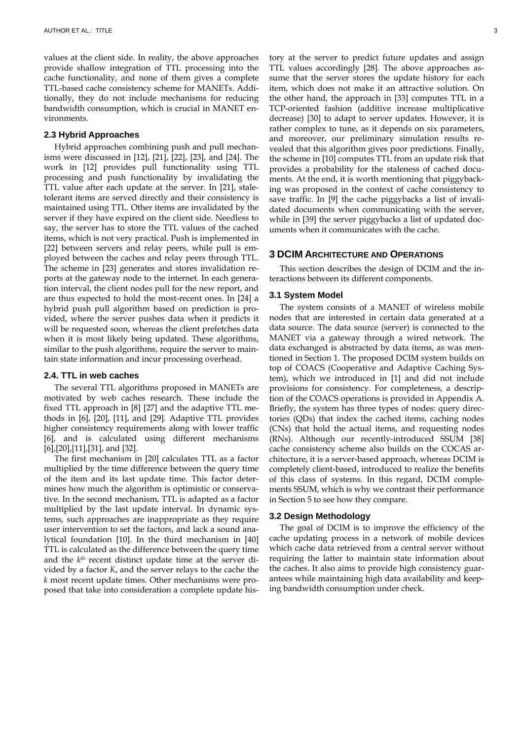values at the client side. In reality, the above approaches provide shallow integration of TTL processing into the cache functionality, and none of them gives a complete TTL-based cache consistency scheme for MANETs. Additionally, they do not include mechanisms for reducing bandwidth consumption, which is crucial in MANET environments.

## **2.3 Hybrid Approaches**

Hybrid approaches combining push and pull mechanisms were discussed in [12], [21], [22], [23], and [24]. The work in [12] provides pull functionality using TTL processing and push functionality by invalidating the TTL value after each update at the server. In [21], staletolerant items are served directly and their consistency is maintained using TTL. Other items are invalidated by the server if they have expired on the client side. Needless to say, the server has to store the TTL values of the cached items, which is not very practical. Push is implemented in [22] between servers and relay peers, while pull is employed between the caches and relay peers through TTL. The scheme in [23] generates and stores invalidation reports at the gateway node to the internet. In each generation interval, the client nodes pull for the new report, and are thus expected to hold the most-recent ones. In [24] a hybrid push pull algorithm based on prediction is provided, where the server pushes data when it predicts it will be requested soon, whereas the client prefetches data when it is most likely being updated. These algorithms, similar to the push algorithms, require the server to maintain state information and incur processing overhead.

#### **2.4. TTL in web caches**

The several TTL algorithms proposed in MANETs are motivated by web caches research. These include the fixed TTL approach in [8] [27] and the adaptive TTL methods in [6], [20], [11], and [29]. Adaptive TTL provides higher consistency requirements along with lower traffic [6], and is calculated using different mechanisms [6],[20],[11],[31], and [32].

The first mechanism in [20] calculates TTL as a factor multiplied by the time difference between the query time of the item and its last update time. This factor determines how much the algorithm is optimistic or conservative. In the second mechanism, TTL is adapted as a factor multiplied by the last update interval. In dynamic systems, such approaches are inappropriate as they require user intervention to set the factors, and lack a sound analytical foundation [10]. In the third mechanism in [40] TTL is calculated as the difference between the query time and the *kth* recent distinct update time at the server divided by a factor *K*, and the server relays to the cache the *k* most recent update times. Other mechanisms were proposed that take into consideration a complete update history at the server to predict future updates and assign TTL values accordingly [28]. The above approaches assume that the server stores the update history for each item, which does not make it an attractive solution. On the other hand, the approach in [33] computes TTL in a TCP-oriented fashion (additive increase multiplicative decrease) [30] to adapt to server updates. However, it is rather complex to tune, as it depends on six parameters, and moreover, our preliminary simulation results revealed that this algorithm gives poor predictions. Finally, the scheme in [10] computes TTL from an update risk that provides a probability for the staleness of cached documents. At the end, it is worth mentioning that piggybacking was proposed in the context of cache consistency to save traffic. In [9] the cache piggybacks a list of invalidated documents when communicating with the server, while in [39] the server piggybacks a list of updated documents when it communicates with the cache.

#### **3 DCIM ARCHITECTURE AND OPERATIONS**

This section describes the design of DCIM and the interactions between its different components.

## **3.1 System Model**

The system consists of a MANET of wireless mobile nodes that are interested in certain data generated at a data source. The data source (server) is connected to the MANET via a gateway through a wired network. The data exchanged is abstracted by data items, as was mentioned in Section 1. The proposed DCIM system builds on top of COACS (Cooperative and Adaptive Caching System), which we introduced in [1] and did not include provisions for consistency. For completeness, a description of the COACS operations is provided in Appendix A. Briefly, the system has three types of nodes: query directories (QDs) that index the cached items, caching nodes (CNs) that hold the actual items, and requesting nodes (RNs). Although our recently-introduced SSUM [38] cache consistency scheme also builds on the COCAS architecture, it is a server-based approach, whereas DCIM is completely client-based, introduced to realize the benefits of this class of systems. In this regard, DCIM complements SSUM, which is why we contrast their performance in Section 5 to see how they compare.

#### **3.2 Design Methodology**

The goal of DCIM is to improve the efficiency of the cache updating process in a network of mobile devices which cache data retrieved from a central server without requiring the latter to maintain state information about the caches. It also aims to provide high consistency guarantees while maintaining high data availability and keeping bandwidth consumption under check.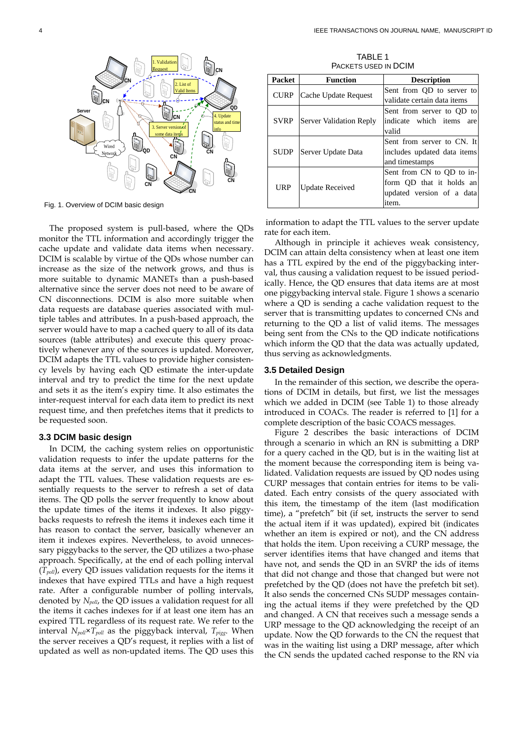

Fig. 1. Overview of DCIM basic design

The proposed system is pull-based, where the QDs monitor the TTL information and accordingly trigger the cache update and validate data items when necessary. DCIM is scalable by virtue of the QDs whose number can increase as the size of the network grows, and thus is more suitable to dynamic MANETs than a push-based alternative since the server does not need to be aware of CN disconnections. DCIM is also more suitable when data requests are database queries associated with multiple tables and attributes. In a push-based approach, the server would have to map a cached query to all of its data sources (table attributes) and execute this query proactively whenever any of the sources is updated. Moreover, DCIM adapts the TTL values to provide higher consistency levels by having each QD estimate the inter-update interval and try to predict the time for the next update and sets it as the item's expiry time. It also estimates the inter-request interval for each data item to predict its next request time, and then prefetches items that it predicts to be requested soon.

#### **3.3 DCIM basic design**

In DCIM, the caching system relies on opportunistic validation requests to infer the update patterns for the data items at the server, and uses this information to adapt the TTL values. These validation requests are essentially requests to the server to refresh a set of data items. The QD polls the server frequently to know about the update times of the items it indexes. It also piggybacks requests to refresh the items it indexes each time it has reason to contact the server, basically whenever an item it indexes expires. Nevertheless, to avoid unnecessary piggybacks to the server, the QD utilizes a two-phase approach. Specifically, at the end of each polling interval (*Tpoll*), every QD issues validation requests for the items it indexes that have expired TTLs and have a high request rate. After a configurable number of polling intervals, denoted by *Npoll*, the QD issues a validation request for all the items it caches indexes for if at least one item has an expired TTL regardless of its request rate. We refer to the interval  $N_{pol} \times T_{pol}$  as the piggyback interval,  $T_{piggs}$ . When the server receives a QD's request, it replies with a list of updated as well as non-updated items. The QD uses this

TABLE 1 PACKETS USED IN DCIM

| Packet      | <b>Function</b>         | <b>Description</b>          |
|-------------|-------------------------|-----------------------------|
| CURP        | Cache Update Request    | Sent from QD to server to   |
|             |                         | validate certain data items |
| SVRP        |                         | Sent from server to QD to   |
|             | Server Validation Reply | indicate which items are    |
|             |                         | valid                       |
| <b>SUDP</b> | Server Update Data      | Sent from server to CN. It  |
|             |                         | includes updated data items |
|             |                         | and timestamps              |
| URP         | <b>Update Received</b>  | Sent from CN to QD to in-   |
|             |                         | form QD that it holds an    |
|             |                         | updated version of a data   |
|             |                         | item.                       |

information to adapt the TTL values to the server update rate for each item.

Although in principle it achieves weak consistency, DCIM can attain delta consistency when at least one item has a TTL expired by the end of the piggybacking interval, thus causing a validation request to be issued periodically. Hence, the QD ensures that data items are at most one piggybacking interval stale. Figure 1 shows a scenario where a QD is sending a cache validation request to the server that is transmitting updates to concerned CNs and returning to the QD a list of valid items. The messages being sent from the CNs to the QD indicate notifications which inform the QD that the data was actually updated, thus serving as acknowledgments.

#### **3.5 Detailed Design**

In the remainder of this section, we describe the operations of DCIM in details, but first, we list the messages which we added in DCIM (see Table 1) to those already introduced in COACs. The reader is referred to [1] for a complete description of the basic COACS messages.

Figure 2 describes the basic interactions of DCIM through a scenario in which an RN is submitting a DRP for a query cached in the QD, but is in the waiting list at the moment because the corresponding item is being validated. Validation requests are issued by QD nodes using CURP messages that contain entries for items to be validated. Each entry consists of the query associated with this item, the timestamp of the item (last modification time), a "prefetch" bit (if set, instructs the server to send the actual item if it was updated), expired bit (indicates whether an item is expired or not), and the CN address that holds the item. Upon receiving a CURP message, the server identifies items that have changed and items that have not, and sends the QD in an SVRP the ids of items that did not change and those that changed but were not prefetched by the QD (does not have the prefetch bit set). It also sends the concerned CNs SUDP messages containing the actual items if they were prefetched by the QD and changed. A CN that receives such a message sends a URP message to the QD acknowledging the receipt of an update. Now the QD forwards to the CN the request that was in the waiting list using a DRP message, after which the CN sends the updated cached response to the RN via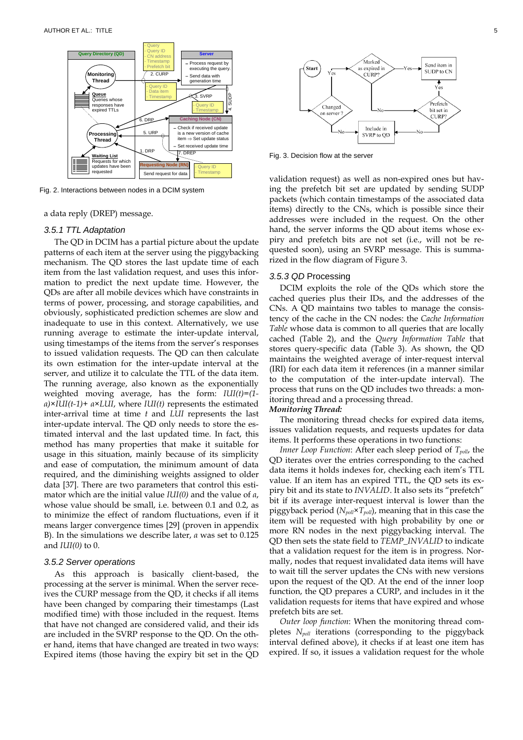

Fig. 2. Interactions between nodes in a DCIM system

a data reply (DREP) message.

## *3.5.1 TTL Adaptation*

The QD in DCIM has a partial picture about the update patterns of each item at the server using the piggybacking mechanism. The QD stores the last update time of each item from the last validation request, and uses this information to predict the next update time. However, the QDs are after all mobile devices which have constraints in terms of power, processing, and storage capabilities, and obviously, sophisticated prediction schemes are slow and inadequate to use in this context. Alternatively, we use running average to estimate the inter-update interval, using timestamps of the items from the server's responses to issued validation requests. The QD can then calculate its own estimation for the inter-update interval at the server, and utilize it to calculate the TTL of the data item. The running average, also known as the exponentially weighted moving average, has the form: *IUI(t)=(1 α)×IUI(t-1)+ α×LUI*, where *IUI(t)* represents the estimated inter-arrival time at time *t* and *LUI* represents the last inter-update interval. The QD only needs to store the estimated interval and the last updated time. In fact, this method has many properties that make it suitable for usage in this situation, mainly because of its simplicity and ease of computation, the minimum amount of data required, and the diminishing weights assigned to older data [37]. There are two parameters that control this estimator which are the initial value *IUI(0)* and the value of *α*, whose value should be small, i.e. between 0.1 and 0.2, as to minimize the effect of random fluctuations, even if it means larger convergence times [29] (proven in appendix B). In the simulations we describe later, *α* was set to 0.125 and *IUI(0)* to 0.

#### *3.5.2 Server operations*

As this approach is basically client-based, the processing at the server is minimal. When the server receives the CURP message from the QD, it checks if all items have been changed by comparing their timestamps (Last modified time) with those included in the request. Items that have not changed are considered valid, and their ids are included in the SVRP response to the QD. On the other hand, items that have changed are treated in two ways: Expired items (those having the expiry bit set in the QD



Fig. 3. Decision flow at the server

validation request) as well as non-expired ones but having the prefetch bit set are updated by sending SUDP packets (which contain timestamps of the associated data items) directly to the CNs, which is possible since their addresses were included in the request. On the other hand, the server informs the QD about items whose expiry and prefetch bits are not set (i.e., will not be requested soon), using an SVRP message. This is summarized in the flow diagram of Figure 3.

#### *3.5.3 QD* Processing

DCIM exploits the role of the QDs which store the cached queries plus their IDs, and the addresses of the CNs. A QD maintains two tables to manage the consistency of the cache in the CN nodes: the *Cache Information Table* whose data is common to all queries that are locally cached (Table 2), and the *Query Information Table* that stores query-specific data (Table 3). As shown, the QD maintains the weighted average of inter-request interval (IRI) for each data item it references (in a manner similar to the computation of the inter-update interval). The process that runs on the QD includes two threads: a monitoring thread and a processing thread.

#### *Monitoring Thread:*

The monitoring thread checks for expired data items, issues validation requests, and requests updates for data items. It performs these operations in two functions:

*Inner Loop Function*: After each sleep period of  $T_{\text{poll}}$ , the QD iterates over the entries corresponding to the cached data items it holds indexes for, checking each item's TTL value. If an item has an expired TTL, the QD sets its expiry bit and its state to *INVALID*. It also sets its "prefetch" bit if its average inter-request interval is lower than the piggyback period (*Npoll×Tpoll*), meaning that in this case the item will be requested with high probability by one or more RN nodes in the next piggybacking interval. The QD then sets the state field to *TEMP\_INVALID* to indicate that a validation request for the item is in progress. Normally, nodes that request invalidated data items will have to wait till the server updates the CNs with new versions upon the request of the QD. At the end of the inner loop function, the QD prepares a CURP, and includes in it the validation requests for items that have expired and whose prefetch bits are set.

*Outer loop function*: When the monitoring thread completes *Npoll* iterations (corresponding to the piggyback interval defined above), it checks if at least one item has expired. If so, it issues a validation request for the whole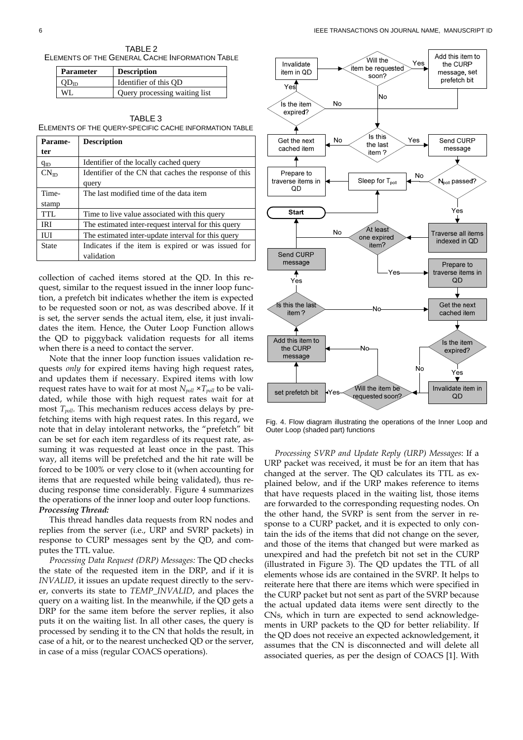TABLE 2 ELEMENTS OF THE GENERAL CACHE INFORMATION TABLE

| <b>Parameter</b> | <b>Description</b>            |
|------------------|-------------------------------|
|                  | Identifier of this OD         |
| WL.              | Query processing waiting list |

TABLE 3 ELEMENTS OF THE QUERY-SPECIFIC CACHE INFORMATION TABLE

| Parame-          | <b>Description</b>                                    |  |
|------------------|-------------------------------------------------------|--|
| ter              |                                                       |  |
| $q_{ID}$         | Identifier of the locally cached query                |  |
| $CN_{\text{ID}}$ | Identifier of the CN that caches the response of this |  |
|                  | query                                                 |  |
| Time-            | The last modified time of the data item               |  |
| stamp            |                                                       |  |
| TTL              | Time to live value associated with this query         |  |
| <b>IRI</b>       | The estimated inter-request interval for this query   |  |
| ШI               | The estimated inter-update interval for this query    |  |
| State            | Indicates if the item is expired or was issued for    |  |
|                  | validation                                            |  |

collection of cached items stored at the QD. In this request, similar to the request issued in the inner loop function, a prefetch bit indicates whether the item is expected to be requested soon or not, as was described above. If it is set, the server sends the actual item, else, it just invalidates the item. Hence, the Outer Loop Function allows the QD to piggyback validation requests for all items when there is a need to contact the server.

Note that the inner loop function issues validation requests *only* for expired items having high request rates, and updates them if necessary. Expired items with low request rates have to wait for at most  $N_{poll} \times T_{poll}$  to be validated, while those with high request rates wait for at most *Tpoll*. This mechanism reduces access delays by prefetching items with high request rates. In this regard, we note that in delay intolerant networks, the "prefetch" bit can be set for each item regardless of its request rate, assuming it was requested at least once in the past. This way, all items will be prefetched and the hit rate will be forced to be 100% or very close to it (when accounting for items that are requested while being validated), thus reducing response time considerably. Figure 4 summarizes the operations of the inner loop and outer loop functions. *Processing Thread:* 

This thread handles data requests from RN nodes and replies from the server (i.e., URP and SVRP packets) in response to CURP messages sent by the QD, and computes the TTL value.

*Processing Data Request (DRP) Messages:* The QD checks the state of the requested item in the DRP, and if it is *INVALID*, it issues an update request directly to the server, converts its state to *TEMP\_INVALID*, and places the query on a waiting list. In the meanwhile, if the QD gets a DRP for the same item before the server replies, it also puts it on the waiting list. In all other cases, the query is processed by sending it to the CN that holds the result, in case of a hit, or to the nearest unchecked QD or the server, in case of a miss (regular COACS operations).



Fig. 4. Flow diagram illustrating the operations of the Inner Loop and Outer Loop (shaded part) functions

*Processing SVRP and Update Reply (URP) Messages*: If a URP packet was received, it must be for an item that has changed at the server. The QD calculates its TTL as explained below, and if the URP makes reference to items that have requests placed in the waiting list, those items are forwarded to the corresponding requesting nodes. On the other hand, the SVRP is sent from the server in response to a CURP packet, and it is expected to only contain the ids of the items that did not change on the sever, and those of the items that changed but were marked as unexpired and had the prefetch bit not set in the CURP (illustrated in Figure 3). The QD updates the TTL of all elements whose ids are contained in the SVRP. It helps to reiterate here that there are items which were specified in the CURP packet but not sent as part of the SVRP because the actual updated data items were sent directly to the CNs, which in turn are expected to send acknowledgements in URP packets to the QD for better reliability. If the QD does not receive an expected acknowledgement, it assumes that the CN is disconnected and will delete all associated queries, as per the design of COACS [1]. With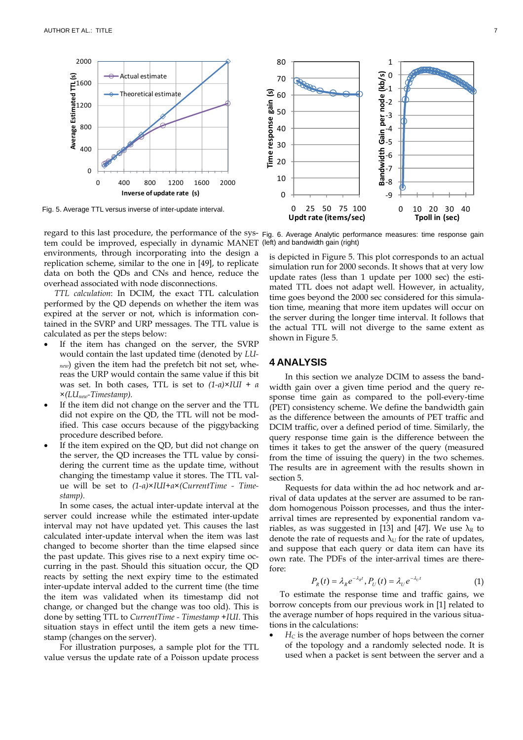

regard to this last procedure, the performance of the sys-Fig. 6. Average Analytic performance measures: time response gain tem could be improved, especially in dynamic MANET (left) and bandwidth gain (right) environments, through incorporating into the design a replication scheme, similar to the one in [49], to replicate data on both the QDs and CNs and hence, reduce the overhead associated with node disconnections.

*TTL calculation*: In DCIM, the exact TTL calculation performed by the QD depends on whether the item was expired at the server or not, which is information contained in the SVRP and URP messages. The TTL value is calculated as per the steps below:

- If the item has changed on the server, the SVRP would contain the last updated time (denoted by *LUnew*) given the item had the prefetch bit not set, whereas the URP would contain the same value if this bit was set. In both cases, TTL is set to *(1-α)×IUI + α ×(LUnew-Timestamp).*
- If the item did not change on the server and the TTL did not expire on the QD, the TTL will not be modified. This case occurs because of the piggybacking procedure described before.
- If the item expired on the QD, but did not change on the server, the QD increases the TTL value by considering the current time as the update time, without changing the timestamp value it stores. The TTL value will be set to *(1-α)×IUI+α×(CurrentTime - Timestamp).*

In some cases, the actual inter-update interval at the server could increase while the estimated inter-update interval may not have updated yet. This causes the last calculated inter-update interval when the item was last changed to become shorter than the time elapsed since the past update. This gives rise to a next expiry time occurring in the past. Should this situation occur, the QD reacts by setting the next expiry time to the estimated inter-update interval added to the current time (the time the item was validated when its timestamp did not change, or changed but the change was too old). This is done by setting TTL to *CurrentTime - Timestamp +IUI*. This situation stays in effect until the item gets a new timestamp (changes on the server).

For illustration purposes, a sample plot for the TTL value versus the update rate of a Poisson update process

is depicted in Figure 5. This plot corresponds to an actual simulation run for 2000 seconds. It shows that at very low update rates (less than 1 update per 1000 sec) the estimated TTL does not adapt well. However, in actuality, time goes beyond the 2000 sec considered for this simulation time, meaning that more item updates will occur on the server during the longer time interval. It follows that the actual TTL will not diverge to the same extent as shown in Figure 5.

## **4 ANALYSIS**

In this section we analyze DCIM to assess the bandwidth gain over a given time period and the query response time gain as compared to the poll-every-time (PET) consistency scheme. We define the bandwidth gain as the difference between the amounts of PET traffic and DCIM traffic, over a defined period of time. Similarly, the query response time gain is the difference between the times it takes to get the answer of the query (measured from the time of issuing the query) in the two schemes. The results are in agreement with the results shown in section 5.

Requests for data within the ad hoc network and arrival of data updates at the server are assumed to be random homogenous Poisson processes, and thus the interarrival times are represented by exponential random variables, as was suggested in [13] and [47]. We use  $\lambda_R$  to denote the rate of requests and  $\lambda_U$  for the rate of updates, and suppose that each query or data item can have its own rate. The PDFs of the inter-arrival times are therefore:

$$
P_R(t) = \lambda_R e^{-\lambda_R t}, P_U(t) = \lambda_U e^{-\lambda_U t}
$$
 (1)

To estimate the response time and traffic gains, we borrow concepts from our previous work in [1] related to the average number of hops required in the various situations in the calculations:

 $H_C$  is the average number of hops between the corner of the topology and a randomly selected node. It is used when a packet is sent between the server and a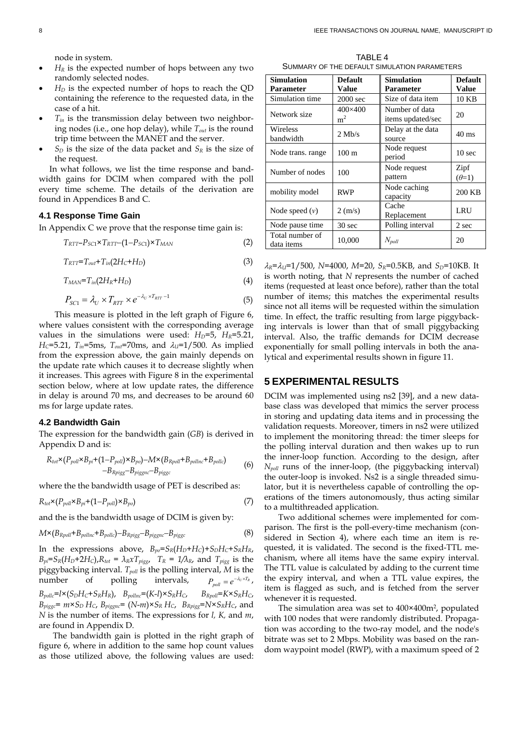node in system.

- $H_R$  is the expected number of hops between any two randomly selected nodes.
- $H<sub>D</sub>$  is the expected number of hops to reach the QD containing the reference to the requested data, in the case of a hit.
- $T_{in}$  is the transmission delay between two neighboring nodes (i.e., one hop delay), while *Tout* is the round trip time between the MANET and the server.
- $S_D$  is the size of the data packet and  $S_R$  is the size of the request.

In what follows, we list the time response and bandwidth gains for DCIM when compared with the poll every time scheme. The details of the derivation are found in Appendices B and C.

## **4.1 Response Time Gain**

In Appendix C we prove that the response time gain is:

$$
T_{RTT} - P_{SC1} \times T_{RTT} - (1 - P_{SC1}) \times T_{MAN}
$$
 (2)

$$
T_{RTT} = T_{out} + T_{in}(2H_C + H_D) \tag{3}
$$

$$
T_{MAN} = T_{in}(2H_R + H_D) \tag{4}
$$

$$
P_{\rm SC1} = \lambda_U \times T_{\rm RTT} \times e^{-\lambda_U \times T_{\rm RTT} - 1} \tag{5}
$$

This measure is plotted in the left graph of Figure 6, where values consistent with the corresponding average values in the simulations were used:  $H_D$ =5,  $H_R$ =5.21, *H*<sub>C</sub>=5.21, *T*<sub>in</sub>=5ms, *T*<sub>out</sub>=70ms, and  $\lambda$ <sub>*U*</sub>=1/500. As implied from the expression above, the gain mainly depends on the update rate which causes it to decrease slightly when it increases. This agrees with Figure 8 in the experimental section below, where at low update rates, the difference in delay is around 70 ms, and decreases to be around 60 ms for large update rates.

#### **4.2 Bandwidth Gain**

The expression for the bandwidth gain (*GB*) is derived in Appendix D and is:

$$
R_{tot} \times (P_{poli} \times B_{pi} + (1 - P_{poli}) \times B_{po}) - M \times (B_{Rpoli} + B_{polinc} + B_{polic})
$$
  
-
$$
B_{Rpigg} - B_{piggrc} - B_{piggc}
$$
 (6)

where the the bandwidth usage of PET is described as:

$$
R_{tot} \times (P_{pol} \times B_{pi} + (1 - P_{pol}) \times B_{po})
$$
\n<sup>(7)</sup>

and the is the bandwidth usage of DCIM is given by:

$$
M \times (B_{Rpoll} + B_{pollnc} + B_{pollc}) - B_{Rpiggs} - B_{piggslc} - B_{piggsc}
$$
 (8)

In the expressions above,  $B_{po} = S_R(H_D + H_C) + S_D H_C + S_R H_R$ ,  $B_{pi} = S_R(H_D + 2H_C)$ , $R_{tot} = \lambda_R x T_{piggs}$ ,  $T_R = 1/\lambda_R$ , and  $T_{piggs}$  is the piggybacking interval. *Tpoll* is the polling interval, *M* is the  $number$  of polling intervals,  $P_{poll} = e^{-\lambda_U \times T_R}$ ,  $B_{pollc} = l \times (S_D H_C + S_R H_R)$ ,  $B_{pollnc} = (K - l) \times S_R H_C$ ,  $B_{Rpoll} = K \times S_R H_C$ ,  $B_{piggs}$ =  $m \times S_D$  *H<sub>C</sub>*,  $B_{piggs}$  $=$   $(N-m) \times S_R$  *H<sub>C</sub>*,  $B_{Rpiggs}$ = $N \times S_R$ *H<sub>C</sub>*, and *N* is the number of items. The expressions for *l, K,* and *m*, are found in Appendix D.

The bandwidth gain is plotted in the right graph of figure 6, where in addition to the same hop count values as those utilized above, the following values are used:

TARI $FA$ SUMMARY OF THE DEFAULT SIMULATION PARAMETERS

| <b>Simulation</b><br><b>Parameter</b> | <b>Default</b><br>Value   | <b>Simulation</b><br>Parameter      | <b>Default</b><br>Value |
|---------------------------------------|---------------------------|-------------------------------------|-------------------------|
| Simulation time                       | 2000 sec                  | Size of data item                   | 10 KB                   |
| Network size                          | 400×400<br>m <sup>2</sup> | Number of data<br>items updated/sec | 20                      |
| Wireless<br>bandwidth                 | $2$ Mb/s                  | Delay at the data<br>source         | $40$ ms                 |
| Node trans. range                     | $100 \text{ m}$           | Node request<br>period              | 10 <sub>sec</sub>       |
| Number of nodes                       | 100                       | Node request<br>pattern             | Zipf<br>$(\theta=1)$    |
| mobility model                        | <b>RWP</b>                | Node caching<br>capacity            | 200 KB                  |
| Node speed $(v)$                      | $2 \text{ (m/s)}$         | Cache<br>Replacement                | LRU                     |
| Node pause time                       | 30 sec                    | Polling interval                    | 2 sec                   |
| Total number of<br>data items         | 10,000                    | $N_{poll}$                          | 20                      |

 $\lambda_R = \lambda_U = 1/500$ , *N*=4000, *M*=20, *S<sub>R</sub>*=0.5KB, and *S<sub>D</sub>*=10KB. It is worth noting, that *N* represents the number of cached items (requested at least once before), rather than the total number of items; this matches the experimental results since not all items will be requested within the simulation time. In effect, the traffic resulting from large piggybacking intervals is lower than that of small piggybacking interval. Also, the traffic demands for DCIM decrease exponentially for small polling intervals in both the analytical and experimental results shown in figure 11.

## **5 EXPERIMENTAL RESULTS**

DCIM was implemented using ns2 [39], and a new database class was developed that mimics the server process in storing and updating data items and in processing the validation requests. Moreover, timers in ns2 were utilized to implement the monitoring thread: the timer sleeps for the polling interval duration and then wakes up to run the inner-loop function. According to the design, after *Npoll* runs of the inner-loop, (the piggybacking interval) the outer-loop is invoked. Ns2 is a single threaded simulator, but it is nevertheless capable of controlling the operations of the timers autonomously, thus acting similar to a multithreaded application.

Two additional schemes were implemented for comparison. The first is the poll-every-time mechanism (considered in Section 4), where each time an item is requested, it is validated. The second is the fixed-TTL mechanism, where all items have the same expiry interval. The TTL value is calculated by adding to the current time the expiry interval, and when a TTL value expires, the item is flagged as such, and is fetched from the server whenever it is requested.

The simulation area was set to 400×400m<sup>2</sup>, populated with 100 nodes that were randomly distributed. Propagation was according to the two-ray model, and the node's bitrate was set to 2 Mbps. Mobility was based on the random waypoint model (RWP), with a maximum speed of 2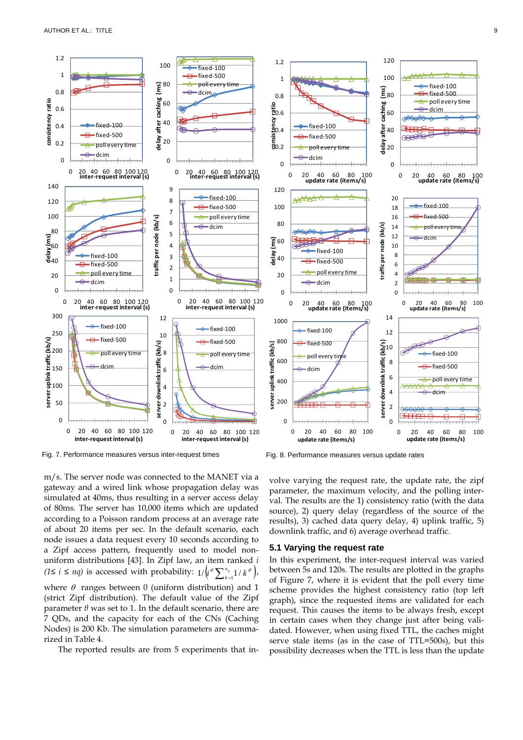

Fig. 7. Performance measures versus inter-request times

m/s. The server node was connected to the MANET via a gateway and a wired link whose propagation delay was simulated at 40ms, thus resulting in a server access delay of 80ms. The server has 10,000 items which are updated according to a Poisson random process at an average rate of about 20 items per sec. In the default scenario, each node issues a data request every 10 seconds according to a Zipf access pattern, frequently used to model nonuniform distributions [43]. In Zipf law, an item ranked *i (*1≤ *i* ≤ *nq*) is accessed with probability:  $1/(\iota^{\theta} \sum_{k=1}^{n_q} 1/k^{\theta})$ , where  $\theta$  ranges between 0 (uniform distribution) and 1 (strict Zipf distribution). The default value of the Zipf parameter *θ* was set to 1. In the default scenario, there are 7 QDs, and the capacity for each of the CNs (Caching Nodes) is 200 Kb. The simulation parameters are summarized in Table 4.

The reported results are from 5 experiments that in-

Fig. 8. Performance measures versus update rates

volve varying the request rate, the update rate, the zipf parameter, the maximum velocity, and the polling interval. The results are the 1) consistency ratio (with the data source), 2) query delay (regardless of the source of the results), 3) cached data query delay, 4) uplink traffic, 5) downlink traffic, and 6) average overhead traffic.

#### **5.1 Varying the request rate**

In this experiment, the inter-request interval was varied between 5s and 120s. The results are plotted in the graphs of Figure 7, where it is evident that the poll every time scheme provides the highest consistency ratio (top left graph), since the requested items are validated for each request. This causes the items to be always fresh, except in certain cases when they change just after being validated. However, when using fixed TTL, the caches might serve stale items (as in the case of TTL=500s), but this possibility decreases when the TTL is less than the update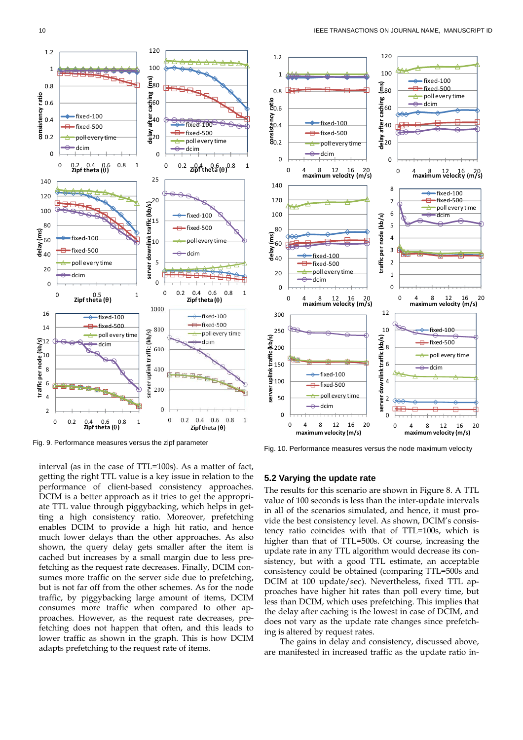

Fig. 9. Performance measures versus the zipf parameter

interval (as in the case of TTL=100s). As a matter of fact, getting the right TTL value is a key issue in relation to the performance of client-based consistency approaches. DCIM is a better approach as it tries to get the appropriate TTL value through piggybacking, which helps in getting a high consistency ratio. Moreover, prefetching enables DCIM to provide a high hit ratio, and hence much lower delays than the other approaches. As also shown, the query delay gets smaller after the item is cached but increases by a small margin due to less prefetching as the request rate decreases. Finally, DCIM consumes more traffic on the server side due to prefetching, but is not far off from the other schemes. As for the node traffic, by piggybacking large amount of items, DCIM consumes more traffic when compared to other approaches. However, as the request rate decreases, prefetching does not happen that often, and this leads to lower traffic as shown in the graph. This is how DCIM adapts prefetching to the request rate of items.



Fig. 10. Performance measures versus the node maximum velocity

## **5.2 Varying the update rate**

The results for this scenario are shown in Figure 8. A TTL value of 100 seconds is less than the inter-update intervals in all of the scenarios simulated, and hence, it must provide the best consistency level. As shown, DCIM's consistency ratio coincides with that of TTL=100s, which is higher than that of TTL=500s. Of course, increasing the update rate in any TTL algorithm would decrease its consistency, but with a good TTL estimate, an acceptable consistency could be obtained (comparing TTL=500s and DCIM at 100 update/sec). Nevertheless, fixed TTL approaches have higher hit rates than poll every time, but less than DCIM, which uses prefetching. This implies that the delay after caching is the lowest in case of DCIM, and does not vary as the update rate changes since prefetching is altered by request rates.

The gains in delay and consistency, discussed above, are manifested in increased traffic as the update ratio in-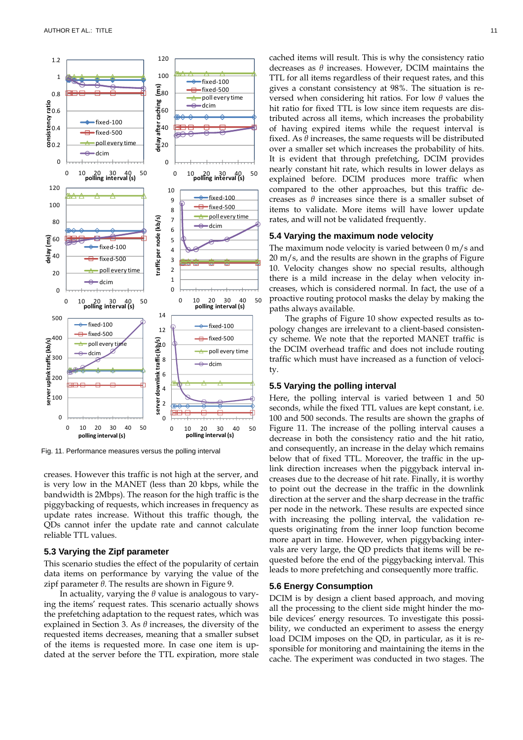

Fig. 11. Performance measures versus the polling interval

creases. However this traffic is not high at the server, and is very low in the MANET (less than 20 kbps, while the bandwidth is 2Mbps). The reason for the high traffic is the piggybacking of requests, which increases in frequency as update rates increase. Without this traffic though, the QDs cannot infer the update rate and cannot calculate reliable TTL values.

#### **5.3 Varying the Zipf parameter**

This scenario studies the effect of the popularity of certain data items on performance by varying the value of the zipf parameter *θ*. The results are shown in Figure 9.

In actuality, varying the *θ* value is analogous to varying the items' request rates. This scenario actually shows the prefetching adaptation to the request rates, which was explained in Section 3. As *θ* increases, the diversity of the requested items decreases, meaning that a smaller subset of the items is requested more. In case one item is updated at the server before the TTL expiration, more stale cached items will result. This is why the consistency ratio decreases as *θ* increases. However, DCIM maintains the TTL for all items regardless of their request rates, and this gives a constant consistency at 98%. The situation is reversed when considering hit ratios. For low *θ* values the hit ratio for fixed TTL is low since item requests are distributed across all items, which increases the probability of having expired items while the request interval is fixed. As *θ* increases, the same requests will be distributed over a smaller set which increases the probability of hits. It is evident that through prefetching, DCIM provides nearly constant hit rate, which results in lower delays as explained before. DCIM produces more traffic when compared to the other approaches, but this traffic decreases as *θ* increases since there is a smaller subset of items to validate. More items will have lower update rates, and will not be validated frequently.

#### **5.4 Varying the maximum node velocity**

The maximum node velocity is varied between 0 m/s and 20 m/s, and the results are shown in the graphs of Figure 10. Velocity changes show no special results, although there is a mild increase in the delay when velocity increases, which is considered normal. In fact, the use of a proactive routing protocol masks the delay by making the paths always available.

The graphs of Figure 10 show expected results as topology changes are irrelevant to a client-based consistency scheme. We note that the reported MANET traffic is the DCIM overhead traffic and does not include routing traffic which must have increased as a function of velocity.

#### **5.5 Varying the polling interval**

Here, the polling interval is varied between 1 and 50 seconds, while the fixed TTL values are kept constant, i.e. 100 and 500 seconds. The results are shown the graphs of Figure 11. The increase of the polling interval causes a decrease in both the consistency ratio and the hit ratio, and consequently, an increase in the delay which remains below that of fixed TTL. Moreover, the traffic in the uplink direction increases when the piggyback interval increases due to the decrease of hit rate. Finally, it is worthy to point out the decrease in the traffic in the downlink direction at the server and the sharp decrease in the traffic per node in the network. These results are expected since with increasing the polling interval, the validation requests originating from the inner loop function become more apart in time. However, when piggybacking intervals are very large, the QD predicts that items will be requested before the end of the piggybacking interval. This leads to more prefetching and consequently more traffic.

## **5.6 Energy Consumption**

DCIM is by design a client based approach, and moving all the processing to the client side might hinder the mobile devices' energy resources. To investigate this possibility, we conducted an experiment to assess the energy load DCIM imposes on the QD, in particular, as it is responsible for monitoring and maintaining the items in the cache. The experiment was conducted in two stages. The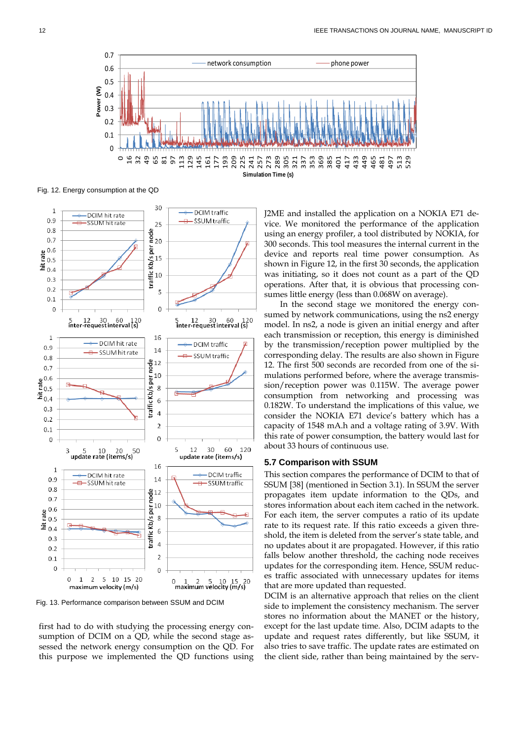

Fig. 12. Energy consumption at the QD



Fig. 13. Performance comparison between SSUM and DCIM

first had to do with studying the processing energy consumption of DCIM on a QD, while the second stage assessed the network energy consumption on the QD. For this purpose we implemented the QD functions using J2ME and installed the application on a NOKIA E71 device. We monitored the performance of the application using an energy profiler, a tool distributed by NOKIA, for 300 seconds. This tool measures the internal current in the device and reports real time power consumption. As shown in Figure 12, in the first 30 seconds, the application was initiating, so it does not count as a part of the QD operations. After that, it is obvious that processing consumes little energy (less than 0.068W on average).

In the second stage we monitored the energy consumed by network communications, using the ns2 energy model. In ns2, a node is given an initial energy and after each transmission or reception, this energy is diminished by the transmission/reception power multiplied by the corresponding delay. The results are also shown in Figure 12. The first 500 seconds are recorded from one of the simulations performed before, where the average transmission/reception power was 0.115W. The average power consumption from networking and processing was 0.182W. To understand the implications of this value, we consider the NOKIA E71 device's battery which has a capacity of 1548 mA.h and a voltage rating of 3.9V. With this rate of power consumption, the battery would last for about 33 hours of continuous use.

#### **5.7 Comparison with SSUM**

This section compares the performance of DCIM to that of SSUM [38] (mentioned in Section 3.1). In SSUM the server propagates item update information to the QDs, and stores information about each item cached in the network. For each item, the server computes a ratio of its update rate to its request rate. If this ratio exceeds a given threshold, the item is deleted from the server's state table, and no updates about it are propagated. However, if this ratio falls below another threshold, the caching node receives updates for the corresponding item. Hence, SSUM reduces traffic associated with unnecessary updates for items that are more updated than requested.

DCIM is an alternative approach that relies on the client side to implement the consistency mechanism. The server stores no information about the MANET or the history, except for the last update time. Also, DCIM adapts to the update and request rates differently, but like SSUM, it also tries to save traffic. The update rates are estimated on the client side, rather than being maintained by the serv-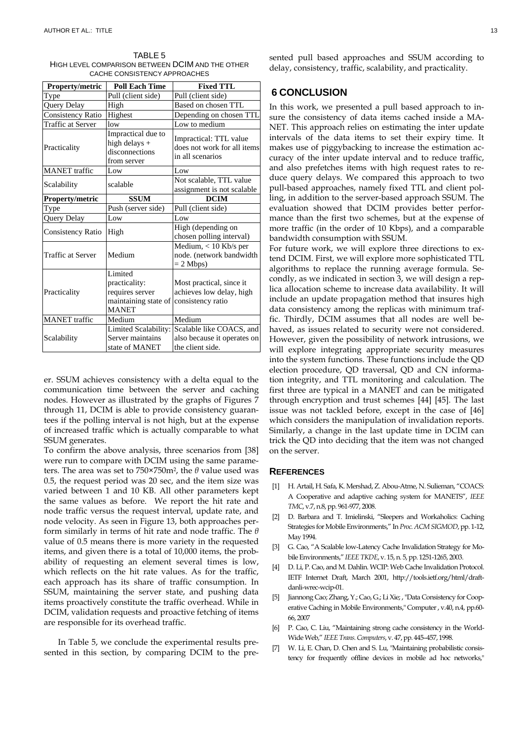| TABLE 5                                          |
|--------------------------------------------------|
| HIGH LEVEL COMPARISON BETWEEN DCIM AND THE OTHER |
| CACHE CONSISTENCY APPROACHES                     |

| Property/metric          | <b>Poll Each Time</b>                                                               | <b>Fixed TTL</b>                                                            |
|--------------------------|-------------------------------------------------------------------------------------|-----------------------------------------------------------------------------|
| Type                     | Pull (client side)                                                                  | Pull (client side)                                                          |
| Query Delay              | High                                                                                | Based on chosen TTL                                                         |
| <b>Consistency Ratio</b> | Highest                                                                             | Depending on chosen TTL                                                     |
| <b>Traffic at Server</b> | low                                                                                 | Low to medium                                                               |
| Practicality             | Impractical due to<br>high delays $+$<br>disconnections<br>from server              | Impractical: TTL value<br>does not work for all items<br>in all scenarios   |
| <b>MANET</b> traffic     | Low                                                                                 | Low                                                                         |
| Scalability              | scalable                                                                            | Not scalable, TTL value<br>assignment is not scalable                       |
| Property/metric          | <b>SSUM</b>                                                                         | <b>DCIM</b>                                                                 |
| Type                     | Push (server side)                                                                  | Pull (client side)                                                          |
| Query Delay              | Low                                                                                 | Low                                                                         |
| <b>Consistency Ratio</b> | High                                                                                | High (depending on<br>chosen polling interval)                              |
| Traffic at Server        | Medium                                                                              | Medium, < 10 Kb/s per<br>node. (network bandwidth<br>$= 2$ Mbps)            |
| Practicality             | Limited<br>practicality:<br>requires server<br>maintaining state of<br><b>MANET</b> | Most practical, since it<br>achieves low delay, high<br>consistency ratio   |
| <b>MANET</b> traffic     | Medium                                                                              | Medium                                                                      |
| Scalability              | Limited Scalability:<br>Server maintains<br>state of MANET                          | Scalable like COACS, and<br>also because it operates on<br>the client side. |

er. SSUM achieves consistency with a delta equal to the communication time between the server and caching nodes. However as illustrated by the graphs of Figures 7 through 11, DCIM is able to provide consistency guarantees if the polling interval is not high, but at the expense of increased traffic which is actually comparable to what SSUM generates.

To confirm the above analysis, three scenarios from [38] were run to compare with DCIM using the same parameters. The area was set to 750×750m2, the *θ* value used was 0.5, the request period was 20 sec, and the item size was varied between 1 and 10 KB. All other parameters kept the same values as before. We report the hit rate and node traffic versus the request interval, update rate, and node velocity. As seen in Figure 13, both approaches perform similarly in terms of hit rate and node traffic. The *θ* value of 0.5 means there is more variety in the requested items, and given there is a total of 10,000 items, the probability of requesting an element several times is low, which reflects on the hit rate values. As for the traffic, each approach has its share of traffic consumption. In SSUM, maintaining the server state, and pushing data items proactively constitute the traffic overhead. While in DCIM, validation requests and proactive fetching of items are responsible for its overhead traffic.

In Table 5, we conclude the experimental results presented in this section, by comparing DCIM to the presented pull based approaches and SSUM according to delay, consistency, traffic, scalability, and practicality.

## **6 CONCLUSION**

In this work, we presented a pull based approach to insure the consistency of data items cached inside a MA-NET. This approach relies on estimating the inter update intervals of the data items to set their expiry time. It makes use of piggybacking to increase the estimation accuracy of the inter update interval and to reduce traffic, and also prefetches items with high request rates to reduce query delays. We compared this approach to two pull-based approaches, namely fixed TTL and client polling, in addition to the server-based approach SSUM. The evaluation showed that DCIM provides better performance than the first two schemes, but at the expense of more traffic (in the order of 10 Kbps), and a comparable bandwidth consumption with SSUM.

For future work, we will explore three directions to extend DCIM. First, we will explore more sophisticated TTL algorithms to replace the running average formula. Secondly, as we indicated in section 3, we will design a replica allocation scheme to increase data availability. It will include an update propagation method that insures high data consistency among the replicas with minimum traffic. Thirdly, DCIM assumes that all nodes are well behaved, as issues related to security were not considered. However, given the possibility of network intrusions, we will explore integrating appropriate security measures into the system functions. These functions include the QD election procedure, QD traversal, QD and CN information integrity, and TTL monitoring and calculation. The first three are typical in a MANET and can be mitigated through encryption and trust schemes [44] [45]. The last issue was not tackled before, except in the case of [46] which considers the manipulation of invalidation reports. Similarly, a change in the last update time in DCIM can trick the QD into deciding that the item was not changed on the server.

## **REFERENCES**

- [1] H. Artail, H. Safa, K. Mershad, Z. Abou-Atme, N. Sulieman, "COACS: A Cooperative and adaptive caching system for MANETS", *IEEE TMC*, v.7, n.8, pp. 961-977, 2008.
- [2] D. Barbara and T. Imielinski, "Sleepers and Workaholics: Caching Strategies for Mobile Environments," In *Proc. ACM SIGMOD*, pp. 1-12, May 1994.
- [3] G. Cao, "A Scalable low-Latency Cache Invalidation Strategy for Mobile Environments," *IEEE TKDE*, v. 15, n. 5, pp. 1251-1265, 2003.
- [4] D. Li, P. Cao, and M. Dahlin. WCIP: Web Cache Invalidation Protocol. IETF Internet Draft, March 2001, http://tools.ietf.org/html/draftdanli-wrec-wcip-01.
- [5] Jiannong Cao; Zhang, Y.; Cao, G.; Li Xie; , "Data Consistency for Cooperative Caching in Mobile Environments," Computer , v.40, n.4, pp.60- 66, 2007
- [6] P. Cao, C. Liu, "Maintaining strong cache consistency in the World-Wide Web," *IEEE Trans. Computers*, v. 47, pp. 445–457, 1998.
- [7] W. Li, E. Chan, D. Chen and S. Lu, "Maintaining probabilistic consistency for frequently offline devices in mobile ad hoc networks,"